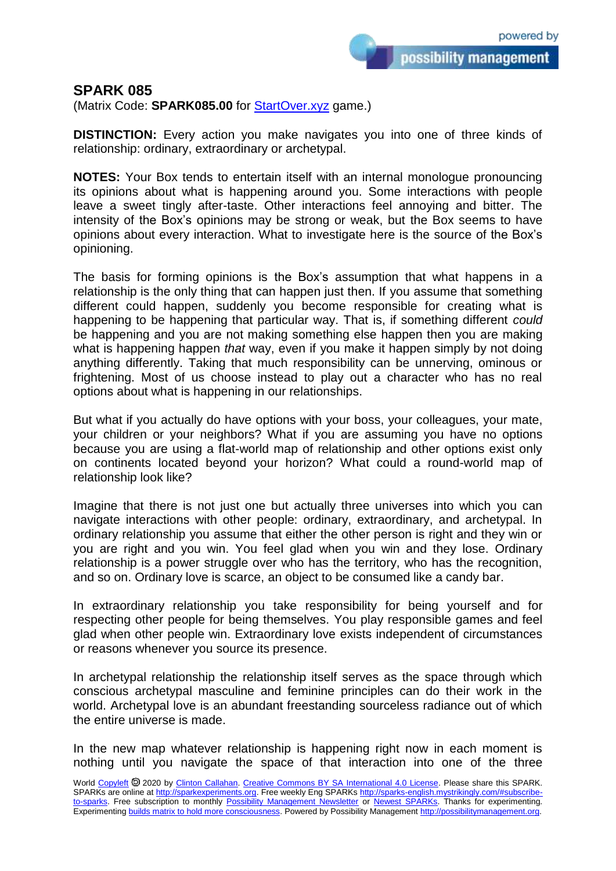possibility management

## **SPARK 085**

(Matrix Code: **SPARK085.00** for **StartOver.xyz** game.)

**DISTINCTION:** Every action you make navigates you into one of three kinds of relationship: ordinary, extraordinary or archetypal.

**NOTES:** Your Box tends to entertain itself with an internal monologue pronouncing its opinions about what is happening around you. Some interactions with people leave a sweet tingly after-taste. Other interactions feel annoying and bitter. The intensity of the Box's opinions may be strong or weak, but the Box seems to have opinions about every interaction. What to investigate here is the source of the Box's opinioning.

The basis for forming opinions is the Box's assumption that what happens in a relationship is the only thing that can happen just then. If you assume that something different could happen, suddenly you become responsible for creating what is happening to be happening that particular way. That is, if something different *could*  be happening and you are not making something else happen then you are making what is happening happen *that* way, even if you make it happen simply by not doing anything differently. Taking that much responsibility can be unnerving, ominous or frightening. Most of us choose instead to play out a character who has no real options about what is happening in our relationships.

But what if you actually do have options with your boss, your colleagues, your mate, your children or your neighbors? What if you are assuming you have no options because you are using a flat-world map of relationship and other options exist only on continents located beyond your horizon? What could a round-world map of relationship look like?

Imagine that there is not just one but actually three universes into which you can navigate interactions with other people: ordinary, extraordinary, and archetypal. In ordinary relationship you assume that either the other person is right and they win or you are right and you win. You feel glad when you win and they lose. Ordinary relationship is a power struggle over who has the territory, who has the recognition, and so on. Ordinary love is scarce, an object to be consumed like a candy bar.

In extraordinary relationship you take responsibility for being yourself and for respecting other people for being themselves. You play responsible games and feel glad when other people win. Extraordinary love exists independent of circumstances or reasons whenever you source its presence.

In archetypal relationship the relationship itself serves as the space through which conscious archetypal masculine and feminine principles can do their work in the world. Archetypal love is an abundant freestanding sourceless radiance out of which the entire universe is made.

In the new map whatever relationship is happening right now in each moment is nothing until you navigate the space of that interaction into one of the three

World [Copyleft](https://en.wikipedia.org/wiki/Copyleft) <sup>®</sup> 2020 by [Clinton Callahan.](http://clintoncallahan.mystrikingly.com/) [Creative Commons BY SA International 4.0 License.](https://creativecommons.org/licenses/by-sa/4.0/) Please share this SPARK. SPARKs are online at [http://sparkexperiments.org.](http://sparks-english.mystrikingly.com/) Free weekly Eng SPARKs [http://sparks-english.mystrikingly.com/#subscribe](http://sparks-english.mystrikingly.com/#subscribe-to-sparks)[to-sparks.](http://sparks-english.mystrikingly.com/#subscribe-to-sparks) Free subscription to monthly [Possibility Management Newsletter](https://possibilitymanagement.org/news/) or [Newest SPARKs.](https://www.clintoncallahan.org/newsletter-1) Thanks for experimenting. Experimentin[g builds matrix to hold more consciousness.](http://spaceport.mystrikingly.com/) Powered by Possibility Managemen[t http://possibilitymanagement.org.](http://possibilitymanagement.org/)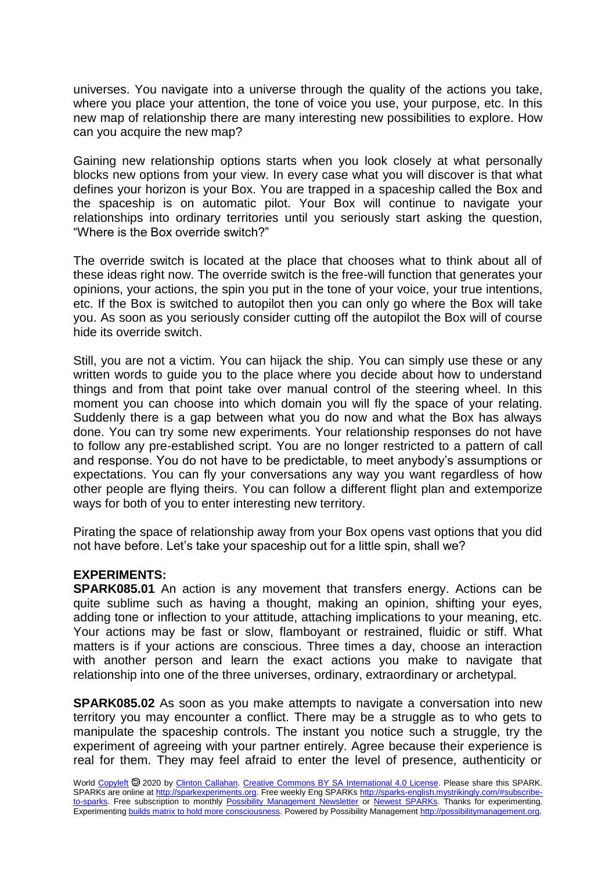universes. You navigate into a universe through the quality of the actions you take, where you place your attention, the tone of voice you use, your purpose, etc. In this new map of relationship there are many interesting new possibilities to explore. How can you acquire the new map?

Gaining new relationship options starts when you look closely at what personally blocks new options from your view. In every case what you will discover is that what defines your horizon is your Box. You are trapped in a spaceship called the Box and the spaceship is on automatic pilot. Your Box will continue to navigate your relationships into ordinary territories until you seriously start asking the question, "Where is the Box override switch?"

The override switch is located at the place that chooses what to think about all of these ideas right now. The override switch is the free-will function that generates your opinions, your actions, the spin you put in the tone of your voice, your true intentions, etc. If the Box is switched to autopilot then you can only go where the Box will take you. As soon as you seriously consider cutting off the autopilot the Box will of course hide its override switch.

Still, you are not a victim. You can hijack the ship. You can simply use these or any written words to guide you to the place where you decide about how to understand things and from that point take over manual control of the steering wheel. In this moment you can choose into which domain you will fly the space of your relating. Suddenly there is a gap between what you do now and what the Box has always done. You can try some new experiments. Your relationship responses do not have to follow any pre-established script. You are no longer restricted to a pattern of call and response. You do not have to be predictable, to meet anybody's assumptions or expectations. You can fly your conversations any way you want regardless of how other people are flying theirs. You can follow a different flight plan and extemporize ways for both of you to enter interesting new territory.

Pirating the space of relationship away from your Box opens vast options that you did not have before. Let's take your spaceship out for a little spin, shall we?

## **EXPERIMENTS:**

**SPARK085.01** An action is any movement that transfers energy. Actions can be quite sublime such as having a thought, making an opinion, shifting your eyes, adding tone or inflection to your attitude, attaching implications to your meaning, etc. Your actions may be fast or slow, flamboyant or restrained, fluidic or stiff. What matters is if your actions are conscious. Three times a day, choose an interaction with another person and learn the exact actions you make to navigate that relationship into one of the three universes, ordinary, extraordinary or archetypal.

**SPARK085.02** As soon as you make attempts to navigate a conversation into new territory you may encounter a conflict. There may be a struggle as to who gets to manipulate the spaceship controls. The instant you notice such a struggle, try the experiment of agreeing with your partner entirely. Agree because their experience is real for them. They may feel afraid to enter the level of presence, authenticity or

World [Copyleft](https://en.wikipedia.org/wiki/Copyleft) @ 2020 by [Clinton Callahan.](http://clintoncallahan.mystrikingly.com/) [Creative Commons BY SA International 4.0 License.](https://creativecommons.org/licenses/by-sa/4.0/) Please share this SPARK. SPARKs are online at [http://sparkexperiments.org.](http://sparks-english.mystrikingly.com/) Free weekly Eng SPARKs [http://sparks-english.mystrikingly.com/#subscribe](http://sparks-english.mystrikingly.com/#subscribe-to-sparks)[to-sparks.](http://sparks-english.mystrikingly.com/#subscribe-to-sparks) Free subscription to monthly [Possibility Management Newsletter](https://possibilitymanagement.org/news/) or [Newest SPARKs.](https://www.clintoncallahan.org/newsletter-1) Thanks for experimenting. Experimentin[g builds matrix to hold more consciousness.](http://spaceport.mystrikingly.com/) Powered by Possibility Managemen[t http://possibilitymanagement.org.](http://possibilitymanagement.org/)